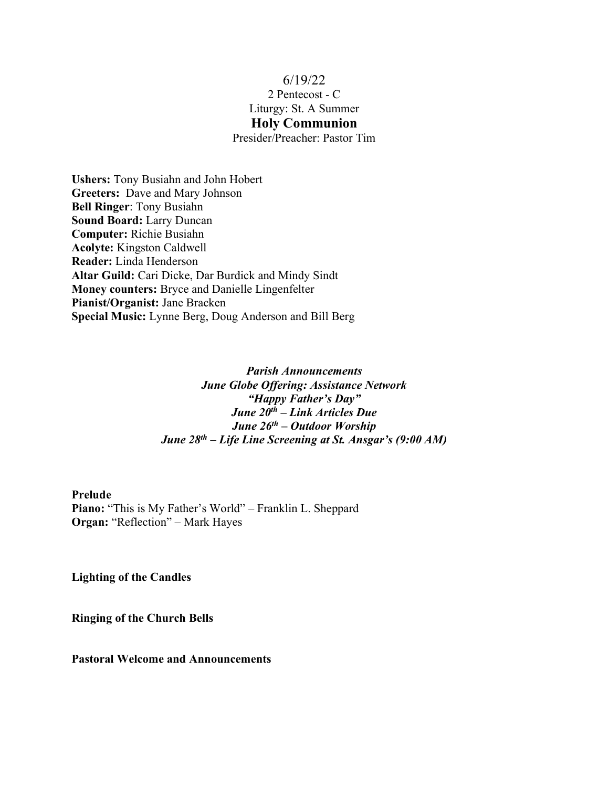# 6/19/22 2 Pentecost - C Liturgy: St. A Summer Holy Communion Presider/Preacher: Pastor Tim

Ushers: Tony Busiahn and John Hobert Greeters: Dave and Mary Johnson Bell Ringer: Tony Busiahn Sound Board: Larry Duncan Computer: Richie Busiahn Acolyte: Kingston Caldwell Reader: Linda Henderson Altar Guild: Cari Dicke, Dar Burdick and Mindy Sindt Money counters: Bryce and Danielle Lingenfelter Pianist/Organist: Jane Bracken Special Music: Lynne Berg, Doug Anderson and Bill Berg

> Parish Announcements June Globe Offering: Assistance Network "Happy Father's Day" June  $20^{th}$  – Link Articles Due June 26th – Outdoor Worship June  $28^{th}$  – Life Line Screening at St. Ansgar's (9:00 AM)

Prelude Piano: "This is My Father's World" – Franklin L. Sheppard Organ: "Reflection" – Mark Hayes

Lighting of the Candles

Ringing of the Church Bells

Pastoral Welcome and Announcements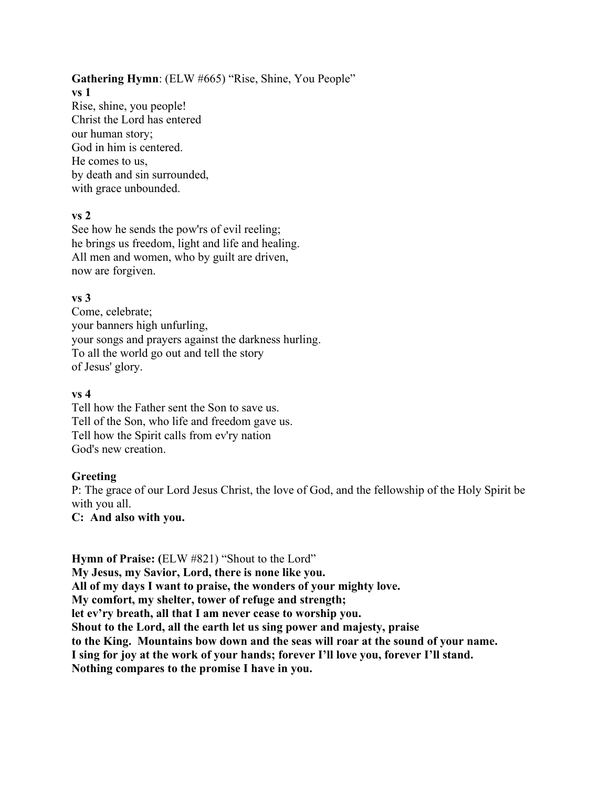#### Gathering Hymn: (ELW #665) "Rise, Shine, You People" vs 1

Rise, shine, you people! Christ the Lord has entered our human story; God in him is centered. He comes to us, by death and sin surrounded, with grace unbounded.

# vs 2

See how he sends the pow'rs of evil reeling; he brings us freedom, light and life and healing. All men and women, who by guilt are driven, now are forgiven.

# vs 3

Come, celebrate; your banners high unfurling, your songs and prayers against the darkness hurling. To all the world go out and tell the story of Jesus' glory.

# vs 4

Tell how the Father sent the Son to save us. Tell of the Son, who life and freedom gave us. Tell how the Spirit calls from ev'ry nation God's new creation.

# Greeting

P: The grace of our Lord Jesus Christ, the love of God, and the fellowship of the Holy Spirit be with you all.

# C: And also with you.

Hymn of Praise: (ELW #821) "Shout to the Lord" My Jesus, my Savior, Lord, there is none like you. All of my days I want to praise, the wonders of your mighty love. My comfort, my shelter, tower of refuge and strength; let ev'ry breath, all that I am never cease to worship you. Shout to the Lord, all the earth let us sing power and majesty, praise to the King. Mountains bow down and the seas will roar at the sound of your name. I sing for joy at the work of your hands; forever I'll love you, forever I'll stand. Nothing compares to the promise I have in you.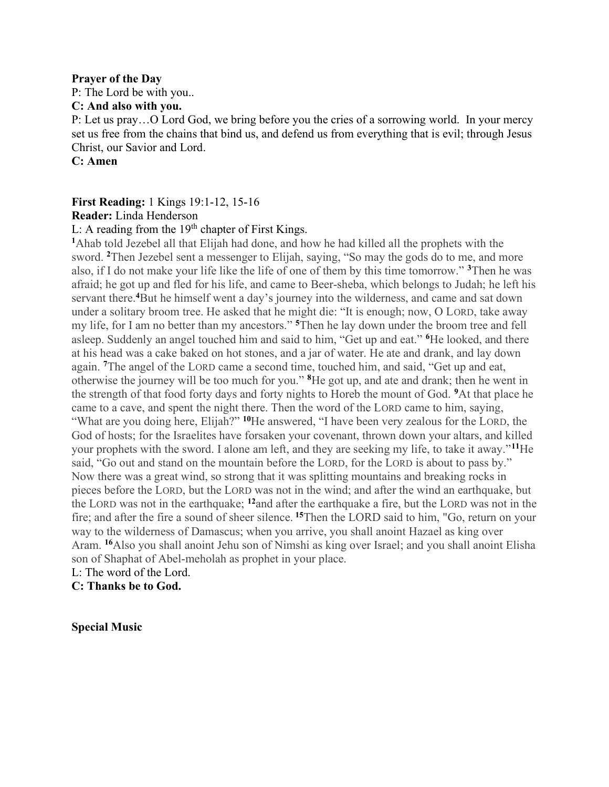#### Prayer of the Day

P: The Lord be with you..

#### C: And also with you.

P: Let us pray…O Lord God, we bring before you the cries of a sorrowing world. In your mercy set us free from the chains that bind us, and defend us from everything that is evil; through Jesus Christ, our Savior and Lord.

C: Amen

# First Reading: 1 Kings 19:1-12, 15-16

Reader: Linda Henderson

# L: A reading from the  $19<sup>th</sup>$  chapter of First Kings.

<sup>1</sup>Ahab told Jezebel all that Elijah had done, and how he had killed all the prophets with the sword. <sup>2</sup>Then Jezebel sent a messenger to Elijah, saying, "So may the gods do to me, and more also, if I do not make your life like the life of one of them by this time tomorrow." <sup>3</sup>Then he was afraid; he got up and fled for his life, and came to Beer-sheba, which belongs to Judah; he left his servant there.<sup>4</sup>But he himself went a day's journey into the wilderness, and came and sat down under a solitary broom tree. He asked that he might die: "It is enough; now, O LORD, take away my life, for I am no better than my ancestors." <sup>5</sup>Then he lay down under the broom tree and fell asleep. Suddenly an angel touched him and said to him, "Get up and eat." <sup>6</sup>He looked, and there at his head was a cake baked on hot stones, and a jar of water. He ate and drank, and lay down again. <sup>7</sup>The angel of the LORD came a second time, touched him, and said, "Get up and eat, otherwise the journey will be too much for you." <sup>8</sup>He got up, and ate and drank; then he went in the strength of that food forty days and forty nights to Horeb the mount of God. <sup>9</sup>At that place he came to a cave, and spent the night there. Then the word of the LORD came to him, saying, "What are you doing here, Elijah?" <sup>10</sup>He answered, "I have been very zealous for the LORD, the God of hosts; for the Israelites have forsaken your covenant, thrown down your altars, and killed your prophets with the sword. I alone am left, and they are seeking my life, to take it away."<sup>11</sup>He said, "Go out and stand on the mountain before the LORD, for the LORD is about to pass by." Now there was a great wind, so strong that it was splitting mountains and breaking rocks in pieces before the LORD, but the LORD was not in the wind; and after the wind an earthquake, but the LORD was not in the earthquake; <sup>12</sup>and after the earthquake a fire, but the LORD was not in the fire; and after the fire a sound of sheer silence. <sup>15</sup>Then the LORD said to him, "Go, return on your way to the wilderness of Damascus; when you arrive, you shall anoint Hazael as king over Aram. <sup>16</sup>Also you shall anoint Jehu son of Nimshi as king over Israel; and you shall anoint Elisha son of Shaphat of Abel-meholah as prophet in your place.

L: The word of the Lord.

C: Thanks be to God.

Special Music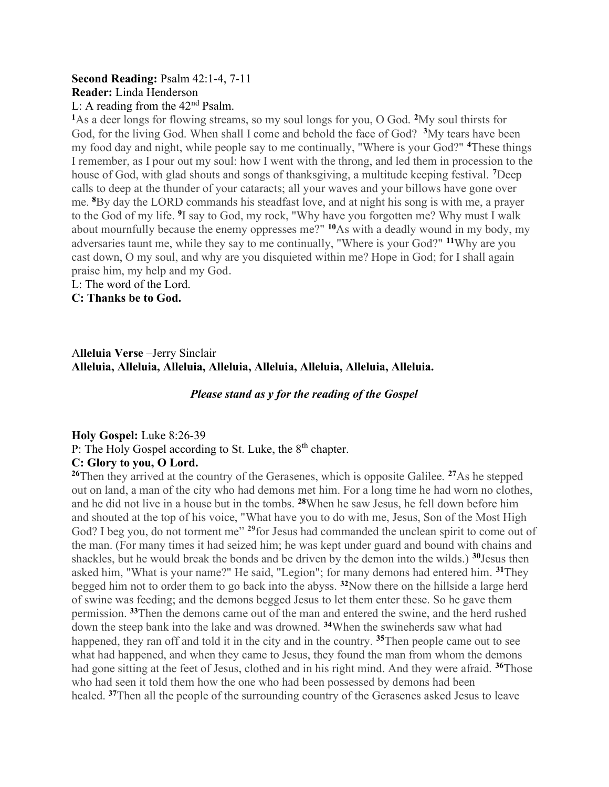# Second Reading: Psalm 42:1-4, 7-11 Reader: Linda Henderson

#### L: A reading from the  $42<sup>nd</sup>$  Psalm.

<sup>1</sup>As a deer longs for flowing streams, so my soul longs for you, O God. <sup>2</sup>My soul thirsts for God, for the living God. When shall I come and behold the face of God? <sup>3</sup>My tears have been my food day and night, while people say to me continually, "Where is your God?" <sup>4</sup>These things I remember, as I pour out my soul: how I went with the throng, and led them in procession to the house of God, with glad shouts and songs of thanksgiving, a multitude keeping festival. <sup>7</sup>Deep calls to deep at the thunder of your cataracts; all your waves and your billows have gone over me. <sup>8</sup>By day the LORD commands his steadfast love, and at night his song is with me, a prayer to the God of my life. <sup>9</sup>I say to God, my rock, "Why have you forgotten me? Why must I walk about mournfully because the enemy oppresses me?"  $^{10}$ As with a deadly wound in my body, my adversaries taunt me, while they say to me continually, "Where is your God?" <sup>11</sup>Why are you cast down, O my soul, and why are you disquieted within me? Hope in God; for I shall again praise him, my help and my God.

L: The word of the Lord.

C: Thanks be to God.

Alleluia Verse –Jerry Sinclair Alleluia, Alleluia, Alleluia, Alleluia, Alleluia, Alleluia, Alleluia, Alleluia.

Please stand as y for the reading of the Gospel

#### Holy Gospel: Luke 8:26-39

P: The Holy Gospel according to St. Luke, the 8<sup>th</sup> chapter.

#### C: Glory to you, O Lord.

<sup>26</sup>Then they arrived at the country of the Gerasenes, which is opposite Galilee.  $27As$  he stepped out on land, a man of the city who had demons met him. For a long time he had worn no clothes, and he did not live in a house but in the tombs. <sup>28</sup>When he saw Jesus, he fell down before him and shouted at the top of his voice, "What have you to do with me, Jesus, Son of the Most High God? I beg you, do not torment me" <sup>29</sup>for Jesus had commanded the unclean spirit to come out of the man. (For many times it had seized him; he was kept under guard and bound with chains and shackles, but he would break the bonds and be driven by the demon into the wilds.)  $30$ Jesus then asked him, "What is your name?" He said, "Legion"; for many demons had entered him. <sup>31</sup>They begged him not to order them to go back into the abyss. <sup>32</sup>Now there on the hillside a large herd of swine was feeding; and the demons begged Jesus to let them enter these. So he gave them permission. <sup>33</sup>Then the demons came out of the man and entered the swine, and the herd rushed down the steep bank into the lake and was drowned. <sup>34</sup>When the swineherds saw what had happened, they ran off and told it in the city and in the country. <sup>35</sup>Then people came out to see what had happened, and when they came to Jesus, they found the man from whom the demons had gone sitting at the feet of Jesus, clothed and in his right mind. And they were afraid. <sup>36</sup>Those who had seen it told them how the one who had been possessed by demons had been healed. <sup>37</sup>Then all the people of the surrounding country of the Gerasenes asked Jesus to leave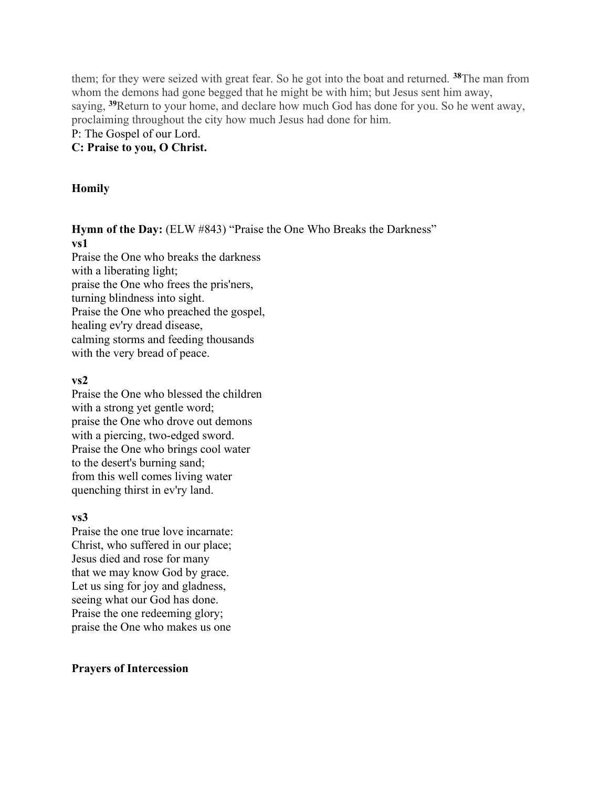them; for they were seized with great fear. So he got into the boat and returned. <sup>38</sup>The man from whom the demons had gone begged that he might be with him; but Jesus sent him away, saying, <sup>39</sup>Return to your home, and declare how much God has done for you. So he went away, proclaiming throughout the city how much Jesus had done for him. P: The Gospel of our Lord. C: Praise to you, O Christ.

#### Homily

Hymn of the Day: (ELW #843) "Praise the One Who Breaks the Darkness" vs1

Praise the One who breaks the darkness with a liberating light; praise the One who frees the pris'ners, turning blindness into sight. Praise the One who preached the gospel, healing ev'ry dread disease, calming storms and feeding thousands with the very bread of peace.

#### vs2

Praise the One who blessed the children with a strong yet gentle word; praise the One who drove out demons with a piercing, two-edged sword. Praise the One who brings cool water to the desert's burning sand; from this well comes living water quenching thirst in ev'ry land.

#### vs3

Praise the one true love incarnate: Christ, who suffered in our place; Jesus died and rose for many that we may know God by grace. Let us sing for joy and gladness, seeing what our God has done. Praise the one redeeming glory; praise the One who makes us one

#### Prayers of Intercession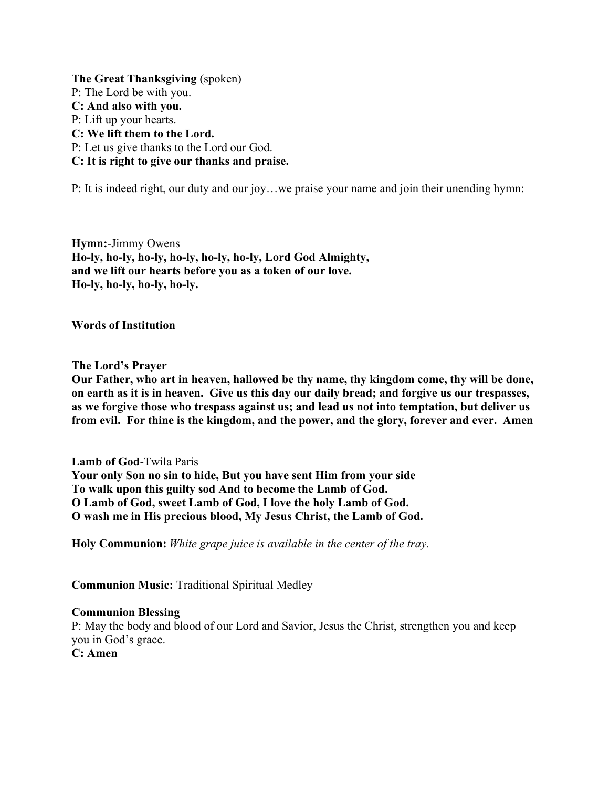The Great Thanksgiving (spoken) P: The Lord be with you. C: And also with you. P: Lift up your hearts. C: We lift them to the Lord. P: Let us give thanks to the Lord our God. C: It is right to give our thanks and praise.

P: It is indeed right, our duty and our joy…we praise your name and join their unending hymn:

Hymn:-Jimmy Owens Ho-ly, ho-ly, ho-ly, ho-ly, ho-ly, ho-ly, Lord God Almighty, and we lift our hearts before you as a token of our love. Ho-ly, ho-ly, ho-ly, ho-ly.

Words of Institution

The Lord's Prayer

Our Father, who art in heaven, hallowed be thy name, thy kingdom come, thy will be done, on earth as it is in heaven. Give us this day our daily bread; and forgive us our trespasses, as we forgive those who trespass against us; and lead us not into temptation, but deliver us from evil. For thine is the kingdom, and the power, and the glory, forever and ever. Amen

Lamb of God-Twila Paris Your only Son no sin to hide, But you have sent Him from your side To walk upon this guilty sod And to become the Lamb of God. O Lamb of God, sweet Lamb of God, I love the holy Lamb of God. O wash me in His precious blood, My Jesus Christ, the Lamb of God.

Holy Communion: White grape juice is available in the center of the tray.

Communion Music: Traditional Spiritual Medley

#### Communion Blessing

P: May the body and blood of our Lord and Savior, Jesus the Christ, strengthen you and keep you in God's grace.

C: Amen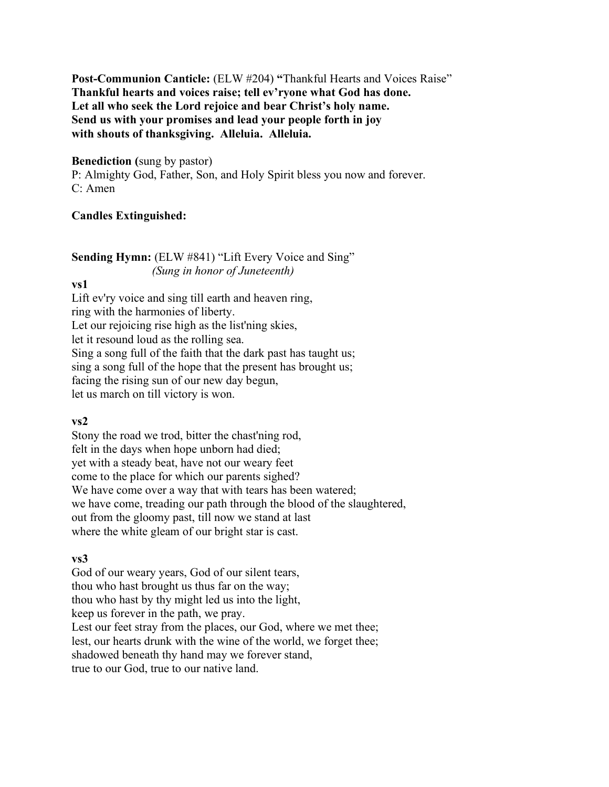Post-Communion Canticle: (ELW #204) "Thankful Hearts and Voices Raise" Thankful hearts and voices raise; tell ev'ryone what God has done. Let all who seek the Lord rejoice and bear Christ's holy name. Send us with your promises and lead your people forth in joy with shouts of thanksgiving. Alleluia. Alleluia.

Benediction (sung by pastor)

P: Almighty God, Father, Son, and Holy Spirit bless you now and forever. C: Amen

#### Candles Extinguished:

## Sending Hymn: (ELW #841) "Lift Every Voice and Sing" (Sung in honor of Juneteenth)

#### vs1

Lift ev'ry voice and sing till earth and heaven ring, ring with the harmonies of liberty. Let our rejoicing rise high as the list'ning skies, let it resound loud as the rolling sea. Sing a song full of the faith that the dark past has taught us; sing a song full of the hope that the present has brought us; facing the rising sun of our new day begun, let us march on till victory is won.

#### vs2

Stony the road we trod, bitter the chast'ning rod, felt in the days when hope unborn had died; yet with a steady beat, have not our weary feet come to the place for which our parents sighed? We have come over a way that with tears has been watered; we have come, treading our path through the blood of the slaughtered, out from the gloomy past, till now we stand at last where the white gleam of our bright star is cast.

#### vs3

God of our weary years, God of our silent tears, thou who hast brought us thus far on the way; thou who hast by thy might led us into the light, keep us forever in the path, we pray. Lest our feet stray from the places, our God, where we met thee; lest, our hearts drunk with the wine of the world, we forget thee; shadowed beneath thy hand may we forever stand, true to our God, true to our native land.